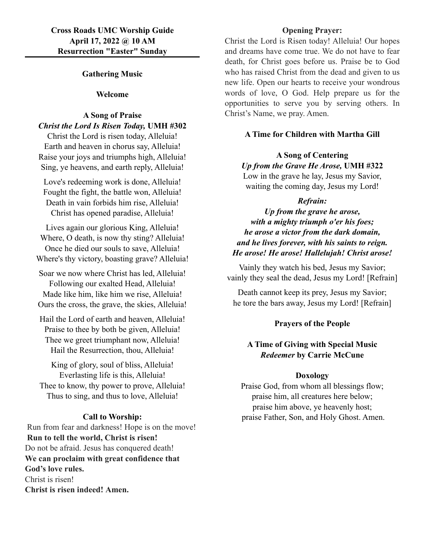## **Gathering Music**

#### **Welcome**

### **A Song of Praise** *Christ the Lord Is Risen Today,* **UMH #302**

Christ the Lord is risen today, Alleluia! Earth and heaven in chorus say, Alleluia! Raise your joys and triumphs high, Alleluia! Sing, ye heavens, and earth reply, Alleluia!

Love's redeeming work is done, Alleluia! Fought the fight, the battle won, Alleluia! Death in vain forbids him rise, Alleluia! Christ has opened paradise, Alleluia!

Lives again our glorious King, Alleluia! Where, O death, is now thy sting? Alleluia! Once he died our souls to save, Alleluia! Where's thy victory, boasting grave? Alleluia!

Soar we now where Christ has led, Alleluia! Following our exalted Head, Alleluia!

Made like him, like him we rise, Alleluia! Ours the cross, the grave, the skies, Alleluia!

Hail the Lord of earth and heaven, Alleluia! Praise to thee by both be given, Alleluia! Thee we greet triumphant now, Alleluia! Hail the Resurrection, thou, Alleluia!

King of glory, soul of bliss, Alleluia! Everlasting life is this, Alleluia! Thee to know, thy power to prove, Alleluia! Thus to sing, and thus to love, Alleluia!

# **Call to Worship:**

 Run from fear and darkness! Hope is on the move!  **Run to tell the world, Christ is risen!** Do not be afraid. Jesus has conquered death! **We can proclaim with great confidence that God's love rules.** Christ is risen! **Christ is risen indeed! Amen.**

## **Opening Prayer:**

Christ the Lord is Risen today! Alleluia! Our hopes and dreams have come true. We do not have to fear death, for Christ goes before us. Praise be to God who has raised Christ from the dead and given to us new life. Open our hearts to receive your wondrous words of love, O God. Help prepare us for the opportunities to serve you by serving others. In Christ's Name, we pray. Amen.

## **A Time for Children with Martha Gill**

#### **A Song of Centering**

*Up from the Grave He Arose,* **UMH #322**

Low in the grave he lay, Jesus my Savior, waiting the coming day, Jesus my Lord!

#### *Refrain:*

*Up from the grave he arose, with a mighty triumph o'er his foes; he arose a victor from the dark domain, and he lives forever, with his saints to reign. He arose! He arose! Hallelujah! Christ arose!*

Vainly they watch his bed, Jesus my Savior; vainly they seal the dead, Jesus my Lord! [Refrain]

Death cannot keep its prey, Jesus my Savior; he tore the bars away, Jesus my Lord! [Refrain]

### **Prayers of the People**

# **A Time of Giving with Special Music** *Redeemer* **by Carrie McCune**

#### **Doxology**

Praise God, from whom all blessings flow; praise him, all creatures here below; praise him above, ye heavenly host; praise Father, Son, and Holy Ghost. Amen.